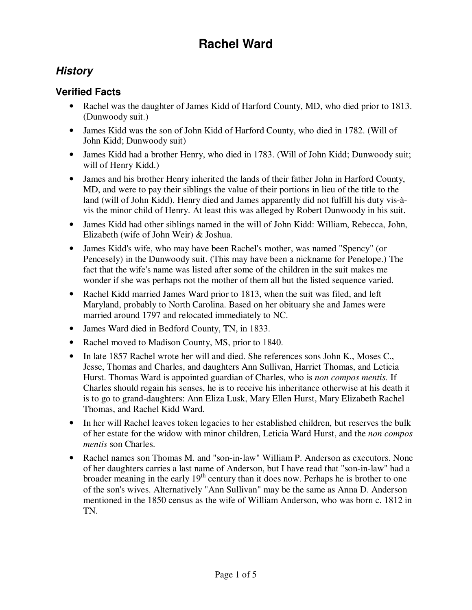### **History**

#### **Verified Facts**

- Rachel was the daughter of James Kidd of Harford County, MD, who died prior to 1813. (Dunwoody suit.)
- James Kidd was the son of John Kidd of Harford County, who died in 1782. (Will of John Kidd; Dunwoody suit)
- James Kidd had a brother Henry, who died in 1783. (Will of John Kidd; Dunwoody suit; will of Henry Kidd.)
- James and his brother Henry inherited the lands of their father John in Harford County, MD, and were to pay their siblings the value of their portions in lieu of the title to the land (will of John Kidd). Henry died and James apparently did not fulfill his duty vis-àvis the minor child of Henry. At least this was alleged by Robert Dunwoody in his suit.
- James Kidd had other siblings named in the will of John Kidd: William, Rebecca, John, Elizabeth (wife of John Weir) & Joshua.
- James Kidd's wife, who may have been Rachel's mother, was named "Spency" (or Pencesely) in the Dunwoody suit. (This may have been a nickname for Penelope.) The fact that the wife's name was listed after some of the children in the suit makes me wonder if she was perhaps not the mother of them all but the listed sequence varied.
- Rachel Kidd married James Ward prior to 1813, when the suit was filed, and left Maryland, probably to North Carolina. Based on her obituary she and James were married around 1797 and relocated immediately to NC.
- James Ward died in Bedford County, TN, in 1833.
- Rachel moved to Madison County, MS, prior to 1840.
- In late 1857 Rachel wrote her will and died. She references sons John K., Moses C., Jesse, Thomas and Charles, and daughters Ann Sullivan, Harriet Thomas, and Leticia Hurst. Thomas Ward is appointed guardian of Charles, who is *non compos mentis.* If Charles should regain his senses, he is to receive his inheritance otherwise at his death it is to go to grand-daughters: Ann Eliza Lusk, Mary Ellen Hurst, Mary Elizabeth Rachel Thomas, and Rachel Kidd Ward.
- In her will Rachel leaves token legacies to her established children, but reserves the bulk of her estate for the widow with minor children, Leticia Ward Hurst, and the *non compos mentis* son Charles.
- Rachel names son Thomas M. and "son-in-law" William P. Anderson as executors. None of her daughters carries a last name of Anderson, but I have read that "son-in-law" had a broader meaning in the early 19<sup>th</sup> century than it does now. Perhaps he is brother to one of the son's wives. Alternatively "Ann Sullivan" may be the same as Anna D. Anderson mentioned in the 1850 census as the wife of William Anderson, who was born c. 1812 in TN.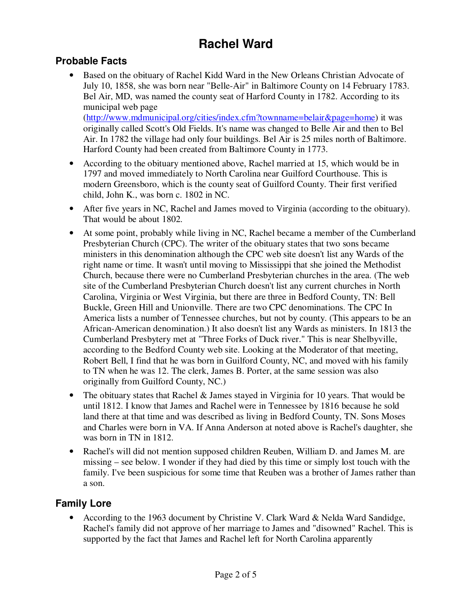#### **Probable Facts**

Based on the obituary of Rachel Kidd Ward in the New Orleans Christian Advocate of July 10, 1858, she was born near "Belle-Air" in Baltimore County on 14 February 1783. Bel Air, MD, was named the county seat of Harford County in 1782. According to its municipal web page

(http://www.mdmunicipal.org/cities/index.cfm?townname=belair&page=home) it was originally called Scott's Old Fields. It's name was changed to Belle Air and then to Bel Air. In 1782 the village had only four buildings. Bel Air is 25 miles north of Baltimore. Harford County had been created from Baltimore County in 1773.

- According to the obituary mentioned above, Rachel married at 15, which would be in 1797 and moved immediately to North Carolina near Guilford Courthouse. This is modern Greensboro, which is the county seat of Guilford County. Their first verified child, John K., was born c. 1802 in NC.
- After five years in NC, Rachel and James moved to Virginia (according to the obituary). That would be about 1802.
- At some point, probably while living in NC, Rachel became a member of the Cumberland Presbyterian Church (CPC). The writer of the obituary states that two sons became ministers in this denomination although the CPC web site doesn't list any Wards of the right name or time. It wasn't until moving to Mississippi that she joined the Methodist Church, because there were no Cumberland Presbyterian churches in the area. (The web site of the Cumberland Presbyterian Church doesn't list any current churches in North Carolina, Virginia or West Virginia, but there are three in Bedford County, TN: Bell Buckle, Green Hill and Unionville. There are two CPC denominations. The CPC In America lists a number of Tennessee churches, but not by county. (This appears to be an African-American denomination.) It also doesn't list any Wards as ministers. In 1813 the Cumberland Presbytery met at "Three Forks of Duck river." This is near Shelbyville, according to the Bedford County web site. Looking at the Moderator of that meeting, Robert Bell, I find that he was born in Guilford County, NC, and moved with his family to TN when he was 12. The clerk, James B. Porter, at the same session was also originally from Guilford County, NC.)
- The obituary states that Rachel & James stayed in Virginia for 10 years. That would be until 1812. I know that James and Rachel were in Tennessee by 1816 because he sold land there at that time and was described as living in Bedford County, TN. Sons Moses and Charles were born in VA. If Anna Anderson at noted above is Rachel's daughter, she was born in TN in 1812.
- Rachel's will did not mention supposed children Reuben, William D. and James M. are missing – see below. I wonder if they had died by this time or simply lost touch with the family. I've been suspicious for some time that Reuben was a brother of James rather than a son.

### **Family Lore**

• According to the 1963 document by Christine V. Clark Ward & Nelda Ward Sandidge, Rachel's family did not approve of her marriage to James and "disowned" Rachel. This is supported by the fact that James and Rachel left for North Carolina apparently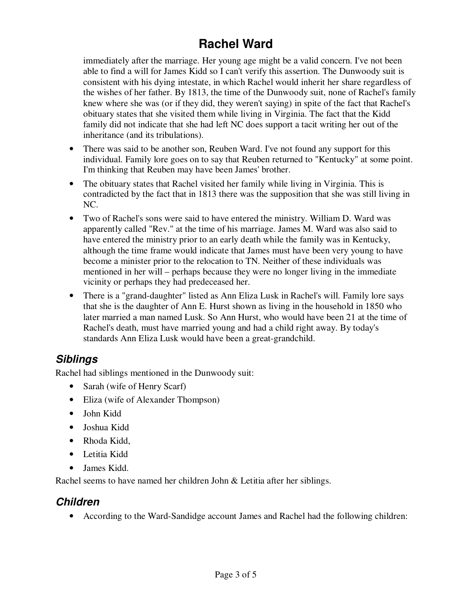immediately after the marriage. Her young age might be a valid concern. I've not been able to find a will for James Kidd so I can't verify this assertion. The Dunwoody suit is consistent with his dying intestate, in which Rachel would inherit her share regardless of the wishes of her father. By 1813, the time of the Dunwoody suit, none of Rachel's family knew where she was (or if they did, they weren't saying) in spite of the fact that Rachel's obituary states that she visited them while living in Virginia. The fact that the Kidd family did not indicate that she had left NC does support a tacit writing her out of the inheritance (and its tribulations).

- There was said to be another son, Reuben Ward. I've not found any support for this individual. Family lore goes on to say that Reuben returned to "Kentucky" at some point. I'm thinking that Reuben may have been James' brother.
- The obituary states that Rachel visited her family while living in Virginia. This is contradicted by the fact that in 1813 there was the supposition that she was still living in NC.
- Two of Rachel's sons were said to have entered the ministry. William D. Ward was apparently called "Rev." at the time of his marriage. James M. Ward was also said to have entered the ministry prior to an early death while the family was in Kentucky, although the time frame would indicate that James must have been very young to have become a minister prior to the relocation to TN. Neither of these individuals was mentioned in her will – perhaps because they were no longer living in the immediate vicinity or perhaps they had predeceased her.
- There is a "grand-daughter" listed as Ann Eliza Lusk in Rachel's will. Family lore says that she is the daughter of Ann E. Hurst shown as living in the household in 1850 who later married a man named Lusk. So Ann Hurst, who would have been 21 at the time of Rachel's death, must have married young and had a child right away. By today's standards Ann Eliza Lusk would have been a great-grandchild.

## **Siblings**

Rachel had siblings mentioned in the Dunwoody suit:

- Sarah (wife of Henry Scarf)
- Eliza (wife of Alexander Thompson)
- John Kidd
- Joshua Kidd
- Rhoda Kidd,
- Letitia Kidd
- James Kidd.

Rachel seems to have named her children John & Letitia after her siblings.

### **Children**

• According to the Ward-Sandidge account James and Rachel had the following children: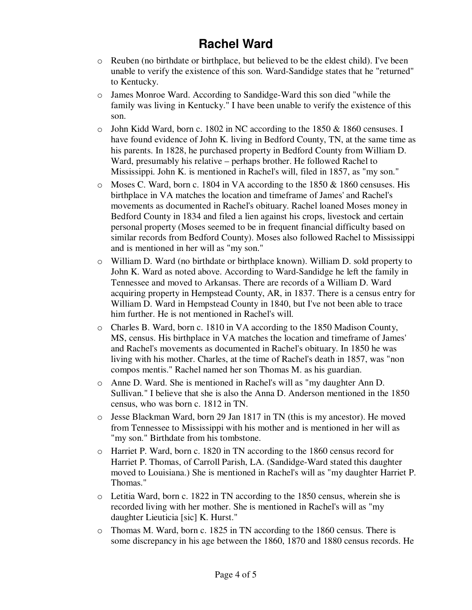- o Reuben (no birthdate or birthplace, but believed to be the eldest child). I've been unable to verify the existence of this son. Ward-Sandidge states that he "returned" to Kentucky.
- o James Monroe Ward. According to Sandidge-Ward this son died "while the family was living in Kentucky." I have been unable to verify the existence of this son.
- $\circ$  John Kidd Ward, born c. 1802 in NC according to the 1850 & 1860 censuses. I have found evidence of John K. living in Bedford County, TN, at the same time as his parents. In 1828, he purchased property in Bedford County from William D. Ward, presumably his relative – perhaps brother. He followed Rachel to Mississippi. John K. is mentioned in Rachel's will, filed in 1857, as "my son."
- $\circ$  Moses C. Ward, born c. 1804 in VA according to the 1850 & 1860 censuses. His birthplace in VA matches the location and timeframe of James' and Rachel's movements as documented in Rachel's obituary. Rachel loaned Moses money in Bedford County in 1834 and filed a lien against his crops, livestock and certain personal property (Moses seemed to be in frequent financial difficulty based on similar records from Bedford County). Moses also followed Rachel to Mississippi and is mentioned in her will as "my son."
- o William D. Ward (no birthdate or birthplace known). William D. sold property to John K. Ward as noted above. According to Ward-Sandidge he left the family in Tennessee and moved to Arkansas. There are records of a William D. Ward acquiring property in Hempstead County, AR, in 1837. There is a census entry for William D. Ward in Hempstead County in 1840, but I've not been able to trace him further. He is not mentioned in Rachel's will.
- o Charles B. Ward, born c. 1810 in VA according to the 1850 Madison County, MS, census. His birthplace in VA matches the location and timeframe of James' and Rachel's movements as documented in Rachel's obituary. In 1850 he was living with his mother. Charles, at the time of Rachel's death in 1857, was "non compos mentis." Rachel named her son Thomas M. as his guardian.
- o Anne D. Ward. She is mentioned in Rachel's will as "my daughter Ann D. Sullivan." I believe that she is also the Anna D. Anderson mentioned in the 1850 census, who was born c. 1812 in TN.
- o Jesse Blackman Ward, born 29 Jan 1817 in TN (this is my ancestor). He moved from Tennessee to Mississippi with his mother and is mentioned in her will as "my son." Birthdate from his tombstone.
- o Harriet P. Ward, born c. 1820 in TN according to the 1860 census record for Harriet P. Thomas, of Carroll Parish, LA. (Sandidge-Ward stated this daughter moved to Louisiana.) She is mentioned in Rachel's will as "my daughter Harriet P. Thomas."
- o Letitia Ward, born c. 1822 in TN according to the 1850 census, wherein she is recorded living with her mother. She is mentioned in Rachel's will as "my daughter Lieuticia [sic] K. Hurst."
- o Thomas M. Ward, born c. 1825 in TN according to the 1860 census. There is some discrepancy in his age between the 1860, 1870 and 1880 census records. He